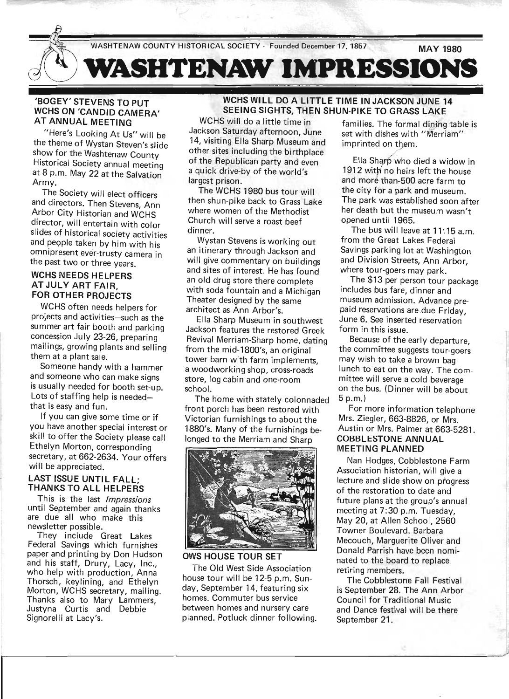# 'BOGEY' STEVENS TO PUT WCHS ON 'CANDID CAMERA' AT ANNUAL MEETING

"Here's Looking At Us" will be the theme of Wystan Steven's slide show for the Washtenaw County Historical Society annual meeting at 8 p.m. May 22 at the Salvation Army.

The Society will elect officers and directors. Then Stevens, Ann Arbor City Historian and WCHS director, will entertain with color slides of historical society activities and people taken by him with his omnipresent ever-trusty camera in the past two or three years.

# WCHS NEEDS HELPERS AT JULY ART FAIR, FOR OTHER PROJECTS

WCHS often needs helpers for projects and activities-such as the summer art fair booth and parking concession July 23-26, preparing mailings, growing plants and selling them at a plant sale.

Someone handy with a hammer and someone who can make signs is usually needed for booth set-up. Lots of staffing help is neededthat is easy and fun.

If you can give some time or if you have another special interest or skill to offer the Society please call Ethelyn Morton, corresponding secretary, at 662-2634. Your offers will be appreciated.

# LAST ISSUE UNTIL FALL; THANKS TO ALL HELPERS

This is the last *Impressions*  until September and again thanks are due all who make this newsletter possible.

They include Great Lakes Federal Savings which furnishes paper and printing by Don Hudson and his staff, Drury, Lacy, Inc., who help with production, Anna Thorsch, keylining, and Ethelyn Morton, WCHS secretary, mailing. Thanks also to Mary Lammers, Justyna Curtis and Debbie Signorelli at Lacy's.

# WCHS WILL DO A LITTLE TIME IN JACKSON JUNE 14 SEEING SIGHTS, THEN SHUN-PIKE TO GRASS LAKE

WCHS will do a little time in Jackson Saturday afternoon, June 14, visiting Ella Sharp Museum and other sites including the birthplace of the Republican party and even a quick drive-by of the world's largest prison.

The WCHS 1980 bus tour will then shun-pike back to Grass Lake where women of the Methodist Church will serve a roast beef dinner.

Wystan Stevens is working out an itinerary through Jackson and will give commentary on buildings and sites of interest. He has found an old drug store there complete with soda fountain and a Michigan Theater designed by the same architect as Ann Arbor's.

Ella Sharp Museum in southwest Jackson features the restored Greek Revival Merriam-Sharp home, dating from the mid-1800's, an original tower barn with farm implements, a woodworking shop, cross-roads store, log cabin and one-room school.

The home with stately colonnaded front porch has been restored with Victorian furnishings to about the 1880's. Many of the furnishings belonged to the Merriam and Sharp



OWS HOUSE TOUR SET

The Old West Side Association house tour will be 12-5 p.m. Sunday, September 14, featuring six homes. Commuter bus service between homes and nursery care planned. Potluck dinner following.

families. The formal dining table is set with dishes with "Merriam" imprinted on them.

Ella Sharp who died a widow in 1912 with no heirs left the house and more-than-500 acre farm to the city for a park and museum. The park was established soon after her death but the museum wasn't opened until 1965.

The bus will leave at 11: 15 a.m. from the Great Lakes Federal Savings parking lot at Washington and Division Streets, Ann Arbor, where tour-goers may park.

The \$13 per person tour package includes bus fare, dinner and museum admission. Advance prepaid reservations are .due Friday, June 6. See inserted reservation form in this issue.

Because of the early departure, the committee suggests tour-goers may wish to take a brown bag lunch to eat on the way. The committee will serve a cold beverage on the bus. (Dinner will be about 5p.m.)

For more information telephone Mrs. Ziegler, 663-8826, or Mrs. Austin or Mrs. Palmer at 663-5281. COBBLESTONE ANNUAL MEETING PLANNED

Nan Hodges, Cobblestone Farm Association historian, will give a lecture and slide show on progress of the restoration to date and future plans at the group's annual meeting at 7:30 p.m. Tuesday, May 20, at Allen School, 2560 Towner Boulevard. Barbara Mecouch, Marguerite Oliver and Donald Parrish have been nominated to the board to replace retiring members.

The Cobblestone Fall Festival is September 28. The Ann Arbor Council for Traditional Music and Dance festival will be there September 21.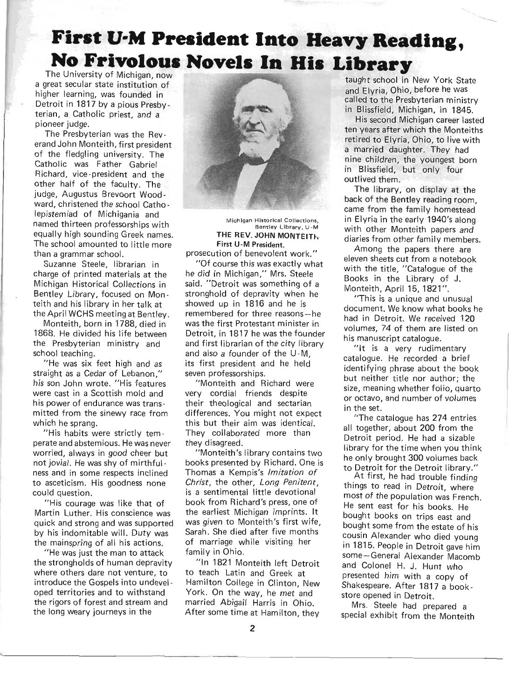# **First U-M President Into Heavy Reading, No Frivolous Novels In His Library** The University of Michigan, now

a great secular state institution of higher learning, was founded in Detroit in 1817 by a pious Presbyterian, a Catholic priest, and a pioneer judge.

The Presbyterian was the Reverand John Monteith, first president of the fledgling university. The Catholic was Father Gabriel Richard, vice-president and the other half of the faculty. The judge, Augustus Brevoort Wood ward, christened the school Catholepistemiad of Michigania and named thirteen professorships with equally high sounding Greek names. The school amounted to little more than a grammar school.

Suzanne Steele, librarian in charge of printed materials at the Michigan Historical Collections in Bentley Library, focused on Monteith and his library in her talk at the April WCHS meeting at Bentley.

Monteith, born in 1788, died in 1868. He divided his life between the Presbyterian ministry and school teaching.

"He was six feet high and as straight as a Cedar of Lebanon," his son John wrote. "His features were cast in a Scottish mold and his power of endurance was transmitted from the sinewy race from which he sprang.

"His habits were strictly temperate and abstemious. He was never worried, always in good cheer but not jovial. He was shy of mirthful ness and in some respects inclined to asceticism. His goodness none could question.

"His courage was like that of Martin Luther. His conscience was quick and strong and was supported by his indomitable will. Duty was the mainspring of all his actions.

"He was just the man to attack the strongholds of human depravity where others dare not venture, to introduce the Gospels into undeveloped territories and to withstand the rigors of forest and stream and the long weary journeys in the



Michigan Historical Collections, Bentley Library, U-M **THE** REV. **JOHN MONTEITh**  First U-M President.

prosecution of benevolent work." "Of course this was exactly what he did in MiChigan," Mrs. Steele said. "Detroit was something of a stronghold of depravity when he showed up in 1816 and he is remembered for three reasons-he was the first Protestant minister in Detroit, in 1817 he was the founder and first librarian of the city library and also a founder of the U-M, its first president and he held seven professorships.

"Monteith and Richard were very cordial friends despite their theological and sectarian differences. You might not expect this but their aim was identical. They collaborated more than they disagreed.

"Monteith's library contains two books presented by Richard. One is Thomas a Kempis's Imitation of Christ, the other, Long Penitent, is a sentimental little devotional book from Richard's press, one of the earliest Michigan imprints. It was given to Monteith's first wife, Sarah. She died after five months of marriage wh ile visiting her family in Ohio.

"In 1821 Monteith left Detroit to teach Latin and Greek at Hamilton College in Clinton, New York. On the way, he met and married Abigail Harris in Ohio. After some time at Hamilton, they

taught school in New York State and Elyria, Ohio, before he was called to the Presbyterian ministry in Blissfield, Michigan, in 1845.

His second Michigan career lasted ten years after which the Monteiths retired to Elyria, Ohio, to live with a married daughter. They had nine children, the youngest born in Blissfield, but only four outlived them.

The library, on display at the back of the Bentley reading room, came from the family homestead in Elyria in the early 1940's along with other Monteith papers and diaries from other family members.

Among the papers there are eleven sheets cut from a notebook with the title, "Catalogue of the Books in the Library of J. Monteith, April 15,1821".

"This is a unique and unusual document. We know what books he had in Detroit. We received 120 volumes, 74 of them are listed on his manuscript catalogue.

"It is a very rudimentary catalogue. He recorded a brief identifying phrase about the book but neither title nor author; the size, meaning whether folio, quarto or octavo, and number of volumes in the set.

"The catalogue has 274 entries all together, about 200 from the Detroit period. He had a sizable library for the time when you think he only brought 300 volumes back to Detroit for the Detroit library."

At first, he had trouble finding things to read in Detroit, where most of the population was French. He sent east for his books. He bought books on trips east and bought some from the estate of his cousin Alexander who died young in 1815. People in Detroit gave him some-General Alexander Macomb and Colonel H. J. Hunt who presented him with a copy of Shakespeare. After 1817 a bookstore opened in Detroit.

Mrs. Steele had prepared a special exhibit from the Monteith

~~----------~----------------------------------------------------------------------------------------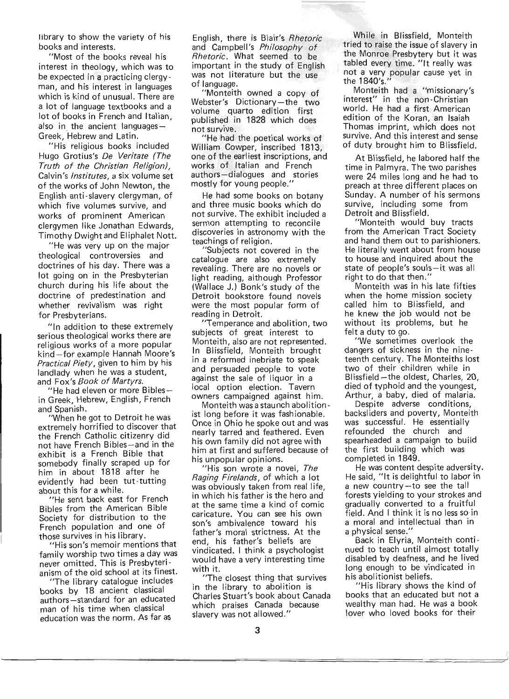library to show the variety of his books and interests.

"Most of the books reveal his interest in theology, which was to be expected in a practicing clergy man, and his interest in languages which is kind of unusual. There are a lot of language textbooks and a lot of books in French and Italian. also in the ancient languages-Greek, Hebrew and Latin.

"His religious books included Hugo Grotius's De Veritate (The Truth of the Christian Religion), Calvin's Institutes, a six volume set of the works of John Newton, the English anti-slavery clergyman, of which five volumes survive, and works of prominent American clergymen like Jonathan Edwards Timothy Dwight and EI iphalet Nott.

"He was very up on the major theological controversies and doctrines of his day. There was a lot going on in the Presbyterian chu rch during his life about the doctrine of predestination and whether revivalism was right for Presbyterians.

"In addition to these extremely serious theological works there are religious works of a more popular kind-for example Hannah Moore's **Practical Piety, given to him by his** landlady when he was a student, and Fox's Book of Martyrs.

"He had eleven or more Biblesin Greek, Hebrew, English, French and Spanish.

"When he got to Detroit he was extremely horrified to discover that the French Catholic citizenry did not have French Bibles-and in the exhibit is a French Bible that somebody finally scraped up for him in about 1818 after he evidently had been tut-tutting about this for a while.

'He sent back east for French Bibles from the American Bible Society for distribution to the French population and one of those survives in his library.

"His son's memoir mentions that family worship two times a day was never omitted. This is Presbyterianism of the old school at its finest.

"The library catalogue includes books by 18 ancient classical authors-standard for an educated man of his time when classical education was the norm. As far as

English, there is Blair's Rhetoric and Campbell's Philosophy of Rhetoric. What seemed to be important in the study of English was not literature but the use of language.

"Monteith owned a copy of Webster's Dictionary-the two volume quarto edition first published in 1828 which does not survive.

"He had the poetical works of William Cowper, inscribed 1813, one of the earliest inscriptions, and works of Italian and French authors-dialogues and stories mostly for young people."

He had some books on botany and three music books which do not survive. The exhibit included a sermon attempting to reconcile discoveries in astronomy with the teachings of religion.

"Subjects not covered in the catalogue are also extremely revealing. There are no novels or light reading, although Professor (Wallace J.) Bonk's study of the Detroit bookstore found novels were the most popular form of reading in Detroit.

"Temperance and abolition, two subjects of great interest to Monteith, also are not represented. In Blissfield, Monteith brought in a reformed inebriate to speak and persuaded people to vote against the sale of liquor in a local option election. Tavern owners campaigned against him.

Monteith was a staunch abolition ist long before it was fashionable. Once in Ohio he spoke out and was nearly tarred and feathered. Even his own family did not agree with him at first and suffered because of his unpopular opinions.

"His son wrote a novel, The Raging Firelands, of which a lot was obviously taken from real life, in which his father is the hero and at the same time a kind of comic caricature. You can see his own son's ambivalence toward his father's moral strictness. At the end, his father's beliefs are vindicated. I think a psychologist would have a very interesting time with it.

"The closest thing that survives in the library to abolition is Charles Stuart's book about Canada which praises Canada because slavery was not allowed."

While in Blissfield, Monteith tried to raise the issue of slavery in the Monroe Presbytery but it was tabled every time. "It really was not a very popular cause yet in  $he$  1840's."

Monteith had a "missionary's interest" in the non-Christian world. He had a first American edition of the Koran, an Isaiah Thomas imprint, which does not survive. And this interest and sense of duty brought him to Blissfield.

At Blissfield, he labored half the time in Palmyra. The two parishes were 24 miles long and he had to preach at three different places on Sunday. A number of his sermons survive, including some from Detroit and Blissfield.

"Monteith would buy tracts from the American Tract Society and hand them out to parishioners. He literally went about from house to house and inquired about the state of people's souls-it was all right to do that then."

Monteith was in his late fifties when the home mission society called him to Blissfield, and he knew the job would not be without its problems, but he felt a duty to go.

"We sometimes overlook the dangers of sickness in the nineteenth century. The Monteiths lost two of their children while in Blissfield-the oldest, Charles, 20, died of typhoid and the youngest, Arthur, a baby, died of malaria.

Despite adverse conditions, backsliders and poverty, Monteith was successful. He essentially refounded the church and spearheaded a campaign to build the first building which was completed in 1849.

He was content despite adversity. He said, "It is delightful to labor in a new country-to see the tall forests yielding to your strokes and gradually converted to a fruitful field. And I think it is no less so in a moral and intellectual than in a physical sense.'

Back in Elyria, Monteith continued to teach until almost totally disabled by deafness, and he lived long enough to be vindicated in his abolitionist beliefs.

"His library shows the kind of books that an educated but not a wealthy man had. He was a book lover who loved books for their